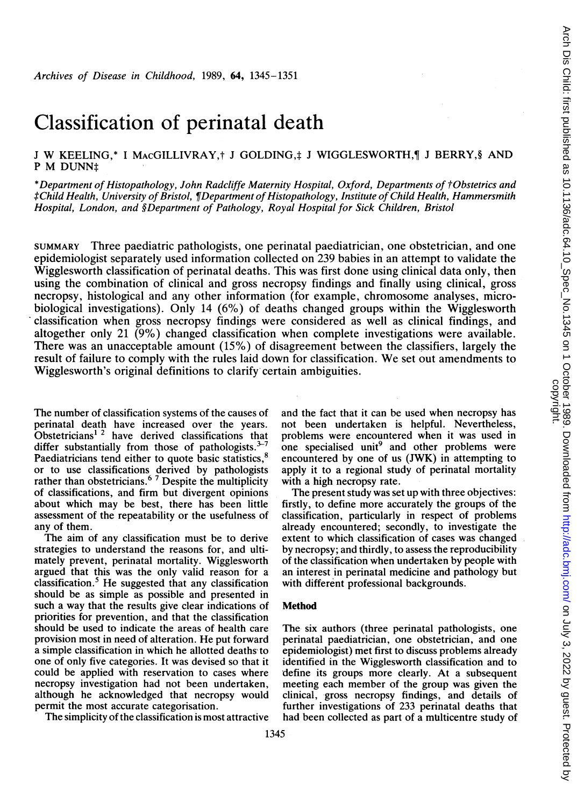# Classification of perinatal death

# J W KEELING,\* I MACGILLIVRAY,† J GOLDING,‡ J WIGGLESWORTH,¶ J BERRY,§ AND P M DUNN<sup>#</sup>

\*Department of Histopathology, John Radcliffe Maternity Hospital, Oxford, Departments of tObstetrics and tChild Health, University ofBristol, 1fDepartment ofHistopathology, Institute of Child Health, Hammersmith Hospital, London, and §Department of Pathology, Royal Hospital for Sick Children, Bristol

SUMMARY Three paediatric pathologists, one perinatal paediatrician, one obstetrician, and one epidemiologist separately used information collected on 239 babies in an attempt to validate the Wigglesworth classification of perinatal deaths. This was first done using clinical data only, then using the combination of clinical and gross necropsy findings and finally using clinical, gross necropsy, histological and any other information (for example, chromosome analyses, microbiological investigations). Only 14 (6%) of deaths changed groups within the Wigglesworth classification when gross necropsy findings were considered as well as clinical findings, and altogether only 21 (9%) changed classification when complete investigations were available. There was an unacceptable amount (15%) of disagreement between the classifiers, largely the result of failure to comply with the rules laid down for classification. We set out amendments to Wigglesworth's original definitions to clarify' certain ambiguities.

The number of classification systems of the causes of perinatal death have increased over the years. Obstetricians<sup>12</sup> have derived classifications that differ substantially from those of pathologists. $3-7$ Paediatricians tend either to quote basic statistics,<sup>8</sup> or to use classifications derived by pathologists rather than obstetricians.<sup>87</sup> Despite the multiplicity of classifications, and firm but divergent opinions about which may be best, there has been little assessment of the repeatability or the usefulness of any of them.

The aim of any classification must be to derive strategies to understand the reasons for, and ultimately prevent, perinatal mortality. Wigglesworth argued that this was the only valid reason for a classification.5 He suggested that any classification should be as simple as possible and presented in such a way that the results give clear indications of priorities for prevention, and that the classification should be used to indicate the areas of health care provision most in need of alteration. He put forward a simple classification in which he allotted deaths to one of only five categories. It was devised so that it could be applied with reservation to cases where necropsy investigation had not been undertaken, although he acknowledged that necropsy would permit the most accurate categorisation.

The simplicity of the classification is most attractive

and the fact that it can be used when necropsy has not been undertaken is helpful. Nevertheless, problems were encountered when it was used in one specialised unit<sup>9</sup> and other problems were encountered by one of us (JWK) in attempting to apply it to a regional study of perinatal mortality with a high necropsy rate.

The present study was set up with three objectives: firstly, to define more accurately the groups of the classification, particularly in respect of problems already encountered; secondly, to investigate the extent to which classification of cases was changed by necropsy; and thirdly, to assess the reproducibility of the classification when undertaken by people with an interest in perinatal medicine and pathology but with different professional backgrounds.

## Method

The six authors (three perinatal pathologists, one perinatal paediatrician, one obstetrician, and one epidemiologist) met first to discuss problems already identified in the Wigglesworth classification and to define its groups more clearly. At a subsequent meeting each member of the group was given the clinical, gross necropsy findings, and details of further investigations of 233 perinatal deaths that had been collected as part of a multicentre study of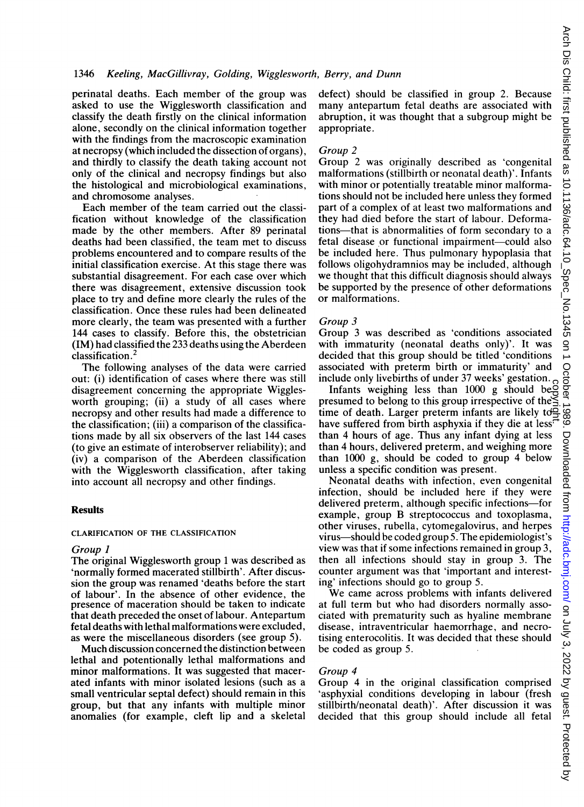perinatal deaths. Each member of the group was asked to use the Wigglesworth classification and classify the death firstly on the clinical information alone, secondly on the clinical information together with the findings from the macroscopic examination at necropsy (which included the dissection of organs), and thirdly to classify the death taking account not only of the clinical and necropsy findings but also the histological and microbiological examinations, and chromosome analyses.

Each member of the team carried out the classification without knowledge of the classification made by the other members. After 89 perinatal deaths had been classified, the team met to discuss problems encountered and to compare results of the initial classification exercise. At this stage there was substantial disagreement. For each case over which there was disagreement, extensive discussion took place to try and define more clearly the rules of the classification. Once these rules had been delineated more clearly, the team was presented with a further 144 cases to classify. Before this, the obstetrician (IM) had classified the 233 deaths using the Aberdeen classification.2

The following analyses of the data were carried out: (i) identification of cases where there was still disagreement concerning the appropriate Wigglesworth grouping; (ii) a study of all cases where necropsy and other results had made a difference to the classification; (iii) a comparison of the classifications made by all six observers of the last 144 cases (to give an estimate of interobserver reliability); and (iv) a comparison of the Aberdeen classification with the Wigglesworth classification, after taking into account all necropsy and other findings.

#### **Results**

#### CLARIFICATION OF THE CLASSIFICATION

#### Group I

The original Wigglesworth group <sup>1</sup> was described as 'normally formed macerated stillbirth'. After discussion the group was renamed 'deaths before the start of labour'. In the absence of other evidence, the presence of maceration should be taken to indicate that death preceded the onset of labour. Antepartum fetal deaths with lethal malformations were excluded, as were the miscellaneous disorders (see group 5).

Much discussion concerned the distinction between lethal and potentionally lethal malformations and minor malformations. It was suggested that macerated infants with minor isolated lesions (such as a small ventricular septal defect) should remain in this group, but that any infants with multiple minor anomalies (for example, cleft lip and a skeletal defect) should be classified in group 2. Because many antepartum fetal deaths are associated with abruption, it was thought that a subgroup might be appropriate.

#### Group 2

Group 2 was originally described as 'congenital malformations (stillbirth or neonatal death)'. Infants with minor or potentially treatable minor malformations should not be included here unless they formed part of a complex of at least two malformations and they had died before the start of labour. Deformations-that is abnormalities of form secondary to a fetal disease or functional impairment-could also be included here. Thus pulmonary hypoplasia that follows oligohydramnios may be included, although we thought that this difficult diagnosis should always be supported by the presence of other deformations or malformations.

#### Group 3

Group 3 was described as 'conditions associated with immaturity (neonatal deaths only)'. It was decided that this group should be titled 'conditions associated with preterm birth or immaturity' and include only livebirths of under 37 weeks' gestation.

Infants weighing less than 1000 g should be presumed to belong to this group irrespective of the  $\leq$ Infants weighing less than 1000 g should be expressumed to belong to this group irrespective of the  $\leq$  time of death. Larger preterm infants are likely to  $\frac{1}{\sqrt{2}}$  the surferent of the state of the state of the sta have suffered from birth asphyxia if they die at less<sup> $\bar{t}$ </sup> than 4 hours of age. Thus any infant dying at less than 4 hours, delivered preterm, and weighing more than 1000 g, should be coded to group 4 below unless a specific condition was present.

Neonatal deaths with infection, even congenital infection, should be included here if they were delivered preterm, although specific infections-for example, group B streptococcus and toxoplasma, other viruses, rubella, cytomegalovirus, and herpes virus-should be coded group 5. The epidemiologist's view was that if some infections remained in group 3, then all infections should stay in group 3. The counter argument was that 'important and interesting' infections should go to group 5.

We came across problems with infants delivered at full term but who had disorders normally associated with prematurity such as hyaline membrane disease, intraventricular haemorrhage, and necrotising enterocolitis. It was decided that these should be coded as group 5.

## Group 4

Group 4 in the original classification comprised 'asphyxial conditions developing in labour (fresh stillbirth/neonatal death)'. After discussion it was decided that this group should include all fetal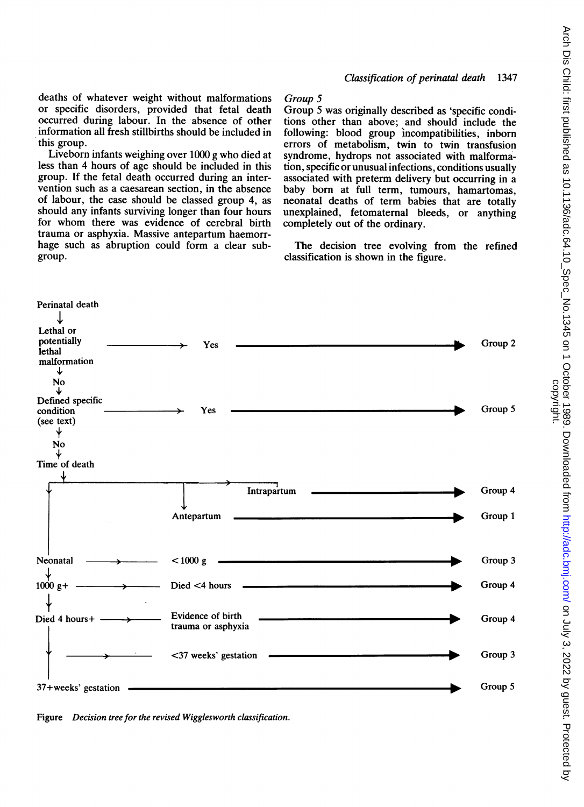deaths of whatever weight without malformations or specific disorders, provided that fetal death occurred during labour. In the absence of other information all fresh stillbirths should be included in this group.

Liveborn infants weighing over 1000 g who died at less than 4 hours of age should be included in this group. If the fetal death occurred during an intervention such as a caesarean section, in the absence of labour, the case should be classed group 4, as should any infants surviving longer than four hours for whom there was evidence of cerebral birth trauma or asphyxia. Massive antepartum haemorrhage such as abruption could form a clear subgroup.

## Group S

Group 5 was originally described as 'specific conditions other than above; and should include the following: blood group incompatibilities, inborn errors of metabolism, twin to twin transfusion syndrome, hydrops not associated with malformation, specific or unusual infections, conditions usually associated with preterm delivery but occurring in a baby born at full term, tumours, hamartomas, neonatal deaths of term babies that are totally unexplained, fetomaternal bleeds, or anything completely out of the ordinary.

The decision tree evolving from the refined classification is shown in the figure.



Figure Decision tree for the revised Wigglesworth classification.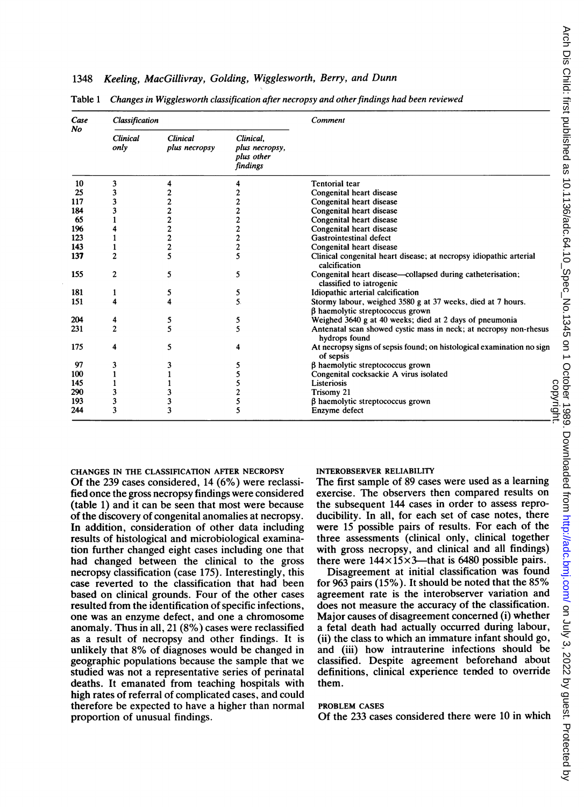## 1348 Keeling, MacGillivray, Golding, Wigglesworth, Berry, and Dunn

| Case<br>No | Classification          |                                  |                                                       | Comment                                                                                               |  |  |  |  |
|------------|-------------------------|----------------------------------|-------------------------------------------------------|-------------------------------------------------------------------------------------------------------|--|--|--|--|
|            | <b>Clinical</b><br>only | <b>Clinical</b><br>plus necropsy | Clinical.<br>plus necropsy,<br>plus other<br>findings |                                                                                                       |  |  |  |  |
| 10         | 3                       | 4                                | 4                                                     | <b>Tentorial</b> tear                                                                                 |  |  |  |  |
| 25         | 3                       |                                  | $\overline{c}$                                        | Congenital heart disease                                                                              |  |  |  |  |
| 117        | 3                       | 2                                | $\mathbf{c}$                                          | Congenital heart disease                                                                              |  |  |  |  |
| 184        | 3                       | $\mathbf{c}$                     | $\overline{c}$                                        | Congenital heart disease                                                                              |  |  |  |  |
| 65         | 1                       | $\overline{\mathbf{c}}$          | $\frac{2}{2}$                                         | Congenital heart disease                                                                              |  |  |  |  |
| 196        | 4                       | $\overline{c}$                   |                                                       | Congenital heart disease                                                                              |  |  |  |  |
| 123        |                         | $\mathbf{c}$                     | $\frac{2}{2}$                                         | Gastrointestinal defect                                                                               |  |  |  |  |
| 143        |                         | $\overline{c}$                   |                                                       | Congenital heart disease                                                                              |  |  |  |  |
| 137        | $\overline{c}$          | 5                                | 5                                                     | Clinical congenital heart disease; at necropsy idiopathic arterial<br>calcification                   |  |  |  |  |
| 155        | 2                       | 5                                | 5                                                     | Congenital heart disease-collapsed during catheterisation;<br>classified to iatrogenic                |  |  |  |  |
| 181        | 1                       | 5                                | 5                                                     | Idiopathic arterial calcification                                                                     |  |  |  |  |
| 151        | 4                       | 4                                | 5.                                                    | Stormy labour, weighed 3580 g at 37 weeks, died at 7 hours.<br>$\beta$ haemolytic streptococcus grown |  |  |  |  |
| 204        | 4                       | 5                                | 5                                                     | Weighed 3640 g at 40 weeks; died at 2 days of pneumonia                                               |  |  |  |  |
| 231        | $\overline{c}$          | 5                                | 5                                                     | Antenatal scan showed cystic mass in neck; at necropsy non-rhesus<br>hydrops found                    |  |  |  |  |
| 175        | 4                       | 5                                | 4                                                     | At necropsy signs of sepsis found; on histological examination no sign<br>of sepsis                   |  |  |  |  |
| 97         | 3                       | 3                                | 5                                                     | $\beta$ haemolytic streptococcus grown                                                                |  |  |  |  |
| 100        |                         |                                  | 5                                                     | Congenital cocksackie A virus isolated                                                                |  |  |  |  |
| 145        |                         |                                  | 5                                                     | Listeriosis                                                                                           |  |  |  |  |
| 290        | 3                       | 3                                | $\overline{c}$                                        | Trisomy 21                                                                                            |  |  |  |  |
| 193        | 3                       | 3                                | 5                                                     | $\beta$ haemolytic streptococcus grown                                                                |  |  |  |  |
| 244        | 3                       | 3                                | 5                                                     | Enzyme defect                                                                                         |  |  |  |  |

Table 1 Changes in Wigglesworth classification after necropsy and other findings had been reviewed

CHANGES IN THE CLASSIFICATION AFTER NECROPSY

Of the 239 cases considered, 14 (6%) were reclassified once the gross necropsy findings were considered (table 1) and it can be seen that most were because of the discovery of congenital anomalies at necropsy. In addition, consideration of other data including results of histological and microbiological examination further changed eight cases including one that had changed between the clinical to the gross necropsy classification (case 175). Interestingly, this case reverted to the classification that had been based on clinical grounds. Four of the other cases resulted from the identification of specific infections, one was an enzyme defect, and one a chromosome anomaly. Thus in all, 21 (8%) cases were reclassified as a result of necropsy and other findings. It is unlikely that 8% of diagnoses would be changed in geographic populations because the sample that we studied was not a representative series of perinatal deaths. It emanated from teaching hospitals with high rates of referral of complicated cases, and could therefore be expected to have a higher than normal proportion of unusual findings.

#### INTEROBSERVER RELIABILITY

The first sample of 89 cases were used as a learning exercise. The observers then compared results on the subsequent 144 cases in order to assess reproducibility. In all, for each set of case notes, there were 15 possible pairs of results. For each of the three assessments (clinical only, clinical together with gross necropsy, and clinical and all findings) there were  $144 \times 15 \times 3$ —that is 6480 possible pairs.

Disagreement at initial classification was found for 963 pairs (15%). It should be noted that the 85% agreement rate is the interobserver variation and does not measure the accuracy of the classification. Major causes of disagreement concerned (i) whether a fetal death had actually occurred during labour, (ii) the class to which an immature infant should go, and (iii) how intrauterine infections should be classified. Despite agreement beforehand about definitions, clinical experience tended to override them.

# PROBLEM CASES

Of the 233 cases considered there were 10 in which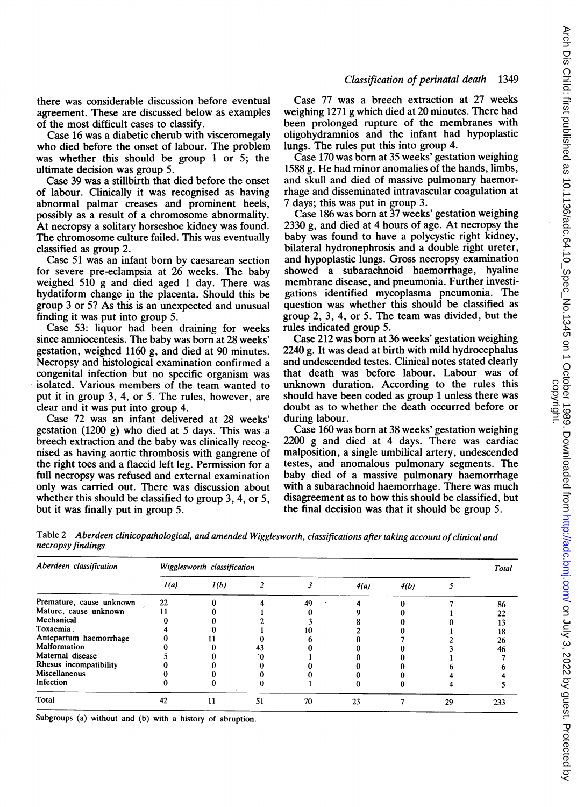there was considerable discussion before eventual agreement. These are discussed below as examples of the most difficult cases to classify.

Case 16 was a diabetic cherub with visceromegaly who died before the onset of labour. The problem was whether this should be group <sup>1</sup> or 5; the ultimate decision was group 5.

Case 39 was a stillbirth that died before the onset of labour. Clinically it was recognised as having abnormal palmar creases and prominent heels, possibly as a result of a chromosome abnormality. At necropsy a solitary horseshoe kidney was found. The chromosome culture failed. This was eventually classified as group 2.

Case 51 was an infant born by caesarean section for severe pre-eclampsia at 26 weeks. The baby weighed 510 g and died aged <sup>1</sup> day. There was hydatiform change in the placenta. Should this be group 3 or 5? As this is an unexpected and unusual finding it was put into group 5.

Case 53: liquor had been draining for weeks since amniocentesis. The baby was born at 28 weeks' gestation, weighed 1160 g, and died at 90 minutes. Necropsy and histological examination confirmed a congenital infection but no specific organism was isolated. Various members of the team wanted to put it in group 3, 4, or 5. The rules, however, are clear and it was put into group 4.

Case 72 was an infant delivered at 28 weeks' gestation (1200 g) who died at 5 days. This was a breech extraction and the baby was clinically recognised as having aortic thrombosis with gangrene of the right toes and a flaccid left leg. Permission for a full necropsy was refused and external examination only was carried out. There was discussion about whether this should be classified to group 3, 4, or 5, but it was finally put in group 5.

Case 77 was a breech extraction at 27 weeks weighing 1271 g which died at 20 minutes. There had been prolonged rupture of the membranes with oligohydramnios and the infant had hypoplastic lungs. The rules put this into group 4.

Case 170 was born at 35 weeks' gestation weighing 1588 g. He had minor anomalies of the hands, limbs, and skull and died of massive pulmonary haemorrhage and disseminated intravascular coagulation at 7 days; this was put in group 3.

Case 186 was born at 37 weeks' gestation weighing 2330 g, and died at 4 hours of age. At necropsy the baby was found to have a polycystic right kidney, bilateral hydronephrosis and a double right ureter, and hypoplastic lungs. Gross necropsy examination showed a subarachnoid haemorrhage, hyaline membrane disease, and pneumonia. Further investigations identified mycoplasma pneumonia. The question was whether this should be classified as group 2, 3, 4, or 5. The team was divided, but the rules indicated group 5.

Case 212 was born at 36 weeks' gestation weighing 2240 g. It was dead at birth with mild hydrocephalus and undescended testes. Clinical notes stated clearly that death was before labour. Labour was of unknown duration. According to the rules this should have been coded as group <sup>1</sup> unless there was doubt as to whether the death occurred before or during labour.

Case 160 was born at 38 weeks' gestation weighing 2200 g and died at 4 days. There was cardiac malposition, a single umbilical artery, undescended testes, and anomalous pulmonary segments. The baby died of a massive pulmonary haemorrhage with a subarachnoid haemorrhage. There was much disagreement as to how this should be classified, but the final decision was that it should be group 5.

Table 2 Aberdeen clinicopathological, and amended Wigglesworth, classifications after taking account of clinical and necropsy findings

| Aberdeen classification  | Wigglesworth classification |      |    |    |      |      |    |     |  |
|--------------------------|-----------------------------|------|----|----|------|------|----|-----|--|
|                          | I(a)                        | 1(b) |    |    | 4(a) | 4(b) |    |     |  |
| Premature, cause unknown | 22                          |      |    | 49 |      |      |    | 86  |  |
| Mature, cause unknown    |                             |      |    |    |      |      |    | 22  |  |
| Mechanical               |                             |      |    |    |      |      |    | 13  |  |
| Toxaemia.                |                             |      |    | 10 |      |      |    | 18  |  |
| Antepartum haemorrhage   |                             |      |    |    |      |      |    | 26  |  |
| <b>Malformation</b>      |                             |      | 43 |    |      |      |    | 46  |  |
| Maternal disease         |                             |      |    |    |      |      |    |     |  |
| Rhesus incompatibility   |                             |      |    |    |      |      |    |     |  |
| <b>Miscellaneous</b>     |                             |      |    |    |      |      |    |     |  |
| Infection                |                             |      |    |    |      |      |    |     |  |
| <b>Total</b>             | 42                          | 11   | 51 | 70 | 23   |      | 29 | 233 |  |
|                          |                             |      |    |    |      |      |    |     |  |

Subgroups (a) without and (b) with a history of abruption.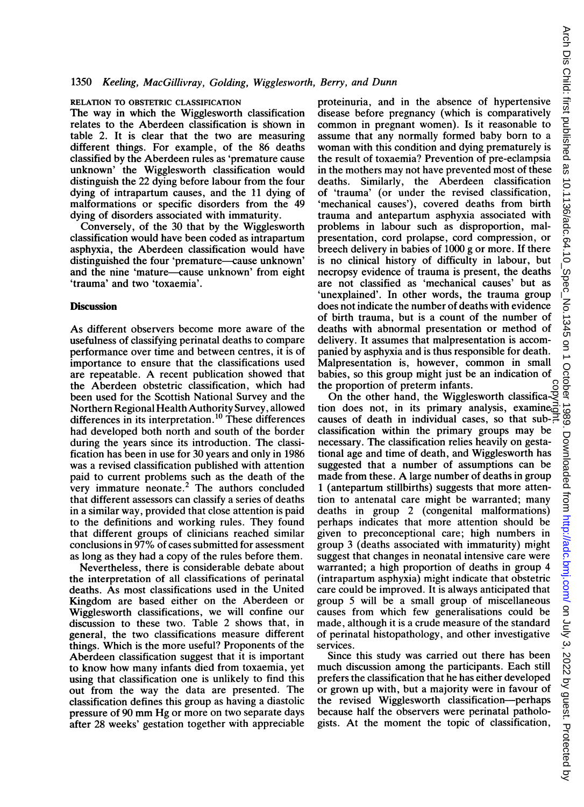## 1350 Keeling, MacGillivray, Golding, Wigglesworth, Berry, and Dunn

#### RELATION TO OBSTETRIC CLASSIFICATION

The way in which the Wigglesworth classification relates to the Aberdeen classification is shown in table 2. It is clear that the two are measuring different things. For example, of the 86 deaths classified by the Aberdeen rules as 'premature cause unknown' the Wigglesworth classification would distinguish the 22 dying before labour from the four dying of intrapartum causes, and the 11 dying of malformations or specific disorders from the 49 dying of disorders associated with immaturity.

Conversely, of the 30 that by the Wigglesworth classification would have been coded as intrapartum asphyxia, the Aberdeen classification would have distinguished the four 'premature-cause unknown' and the nine 'mature-cause unknown' from eight 'trauma' and two 'toxaemia'.

## **Discussion**

As different observers become more aware of the usefulness of classifying perinatal deaths to compare performance over time and between centres, it is of importance to ensure that the classifications used are repeatable. A recent publication showed that the Aberdeen obstetric classification, which had been used for the Scottish National Survey and the Northern Regional Health Authority Survey, allowed differences in its interpretation.<sup>10</sup> These differences had developed both north and south of the border during the years since its introduction. The classification has been in use for 30 years and only in 1986 was a revised classification published with attention paid to current problems such as the death of the very immature neonate.2 The authors concluded that different assessors can classify a series of deaths in a similar way, provided that close attention is paid to the definitions and working rules. They found that different groups of clinicians reached similar conclusions in 97% of cases submitted for assessment as long as they had a copy of the rules before them.

Nevertheless, there is considerable debate about the interpretation of all classifications of perinatal deaths. As most classifications used in the United Kingdom are based either on the Aberdeen or Wigglesworth classifications, we will confine our discussion to these two. Table 2 shows that, in general, the two classifications measure different things. Which is the more useful? Proponents of the Aberdeen classification suggest that it is important to know how many infants died from toxaemia, yet using that classification one is unlikely to find this out from the way the data are presented. The classification defines this group as having a diastolic pressure of <sup>90</sup> mm Hg or more on two separate days after 28 weeks' gestation together with appreciable proteinuria, and in the absence of hypertensive disease before pregnancy (which is comparatively common in pregnant women). Is it reasonable to assume that any normally formed baby born to a woman with this condition and dying prematurely is the result of toxaemia? Prevention of pre-eclampsia in the mothers may not have prevented most of these deaths. Similarly, the Aberdeen classification of 'trauma' (or under the revised classification, 'mechanical causes'), covered deaths from birth trauma and antepartum asphyxia associated with problems in labour such as disproportion, malpresentation, cord prolapse, cord compression, or breech delivery in babies of 1000 g or more. If there is no clinical history of difficulty in labour, but necropsy evidence of trauma is present, the deaths are not classified as 'mechanical causes' but as 'unexplained'. In other words, the trauma group does not indicate the number of deaths with evidence of birth trauma, but is a count of the number of deaths with abnormal presentation or method of delivery. It assumes that malpresentation is accompanied by asphyxia and is thus responsible for death. Malpresentation is, however, common in small babies, so this group might just be an indication of the proportion of preterm infants.

the proportion of preterm infants. On the other hand, the Wigglesworth classification does not, in its primary analysis, examine causes of death in individual cases, so that sub- $\exists$ classification within the primary groups may be necessary. The classification relies heavily on gestational age and time of death, and Wigglesworth has suggested that a number of assumptions can be made from these. A large number of deaths in group <sup>1</sup> (antepartum stillbirths) suggests that more attention to antenatal care might be warranted; many deaths in group 2 (congenital malformations) perhaps indicates that more attention should be given to preconceptional care; high numbers in group 3 (deaths associated with immaturity) might suggest that changes in neonatal intensive care were warranted; a high proportion of deaths in group 4 (intrapartum asphyxia) might indicate that obstetric care could be improved. It is always anticipated that group 5 will be a small group of miscellaneous causes from which few generalisations could be made, although it is a crude measure of the standard of perinatal histopathology, and other investigative services.

Since this study was carried out there has been much discussion among the participants. Each still prefers the classification that he has either developed or grown up with, but a majority were in favour of the revised Wigglesworth classification-perhaps because half the observers were perinatal pathologists. At the moment the topic of classification,